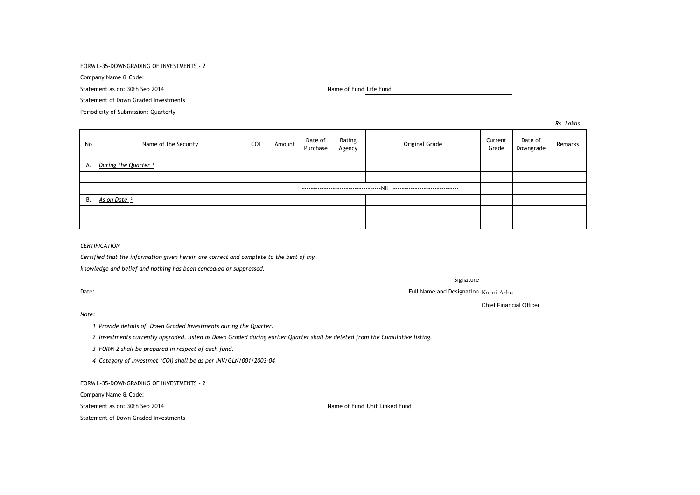FORM L-35-DOWNGRADING OF INVESTMENTS - 2

Company Name & Code:

Statement as on: 30th Sep 2014 Name of Fund Life Fund Life Fund Life Fund Life Fund

Statement of Down Graded Investments

Periodicity of Submission: Quarterly

No Name of the Security COI Amount Date of Purchase Rating Rating Reserved Current<br>Agency Coriginal Grade Current Grade Date of Date of Remarks<br>Downgrade Remarks A. *During the Quarter* <sup>1</sup> ------------------------------------NIL ------------------------------ B. *As on Date* ²

## *CERTIFICATION*

*Certified that the information given herein are correct and complete to the best of my knowledge and belief and nothing has been concealed or suppressed.*

#### *Note:*

*1 Provide details of Down Graded Investments during the Quarter.* 

*2 Investments currently upgraded, listed as Down Graded during earlier Quarter shall be deleted from the Cumulative listing.*

*3 FORM-2 shall be prepared in respect of each fund.*

*4 Category of Investmet (COI) shall be as per INV/GLN/001/2003-04*

FORM L-35-DOWNGRADING OF INVESTMENTS - 2

Company Name & Code:

Statement as on: 30th Sep 2014 Name of Fund Unit Linked Fund

Statement of Down Graded Investments

Date: The Contraction Contraction Contraction Contraction Contraction Contraction Contraction Contraction Contraction Contraction Contraction Contraction Contraction Contraction Contraction Contraction Contraction Contract

Signature

Chief Financial Officer

*Rs. Lakhs*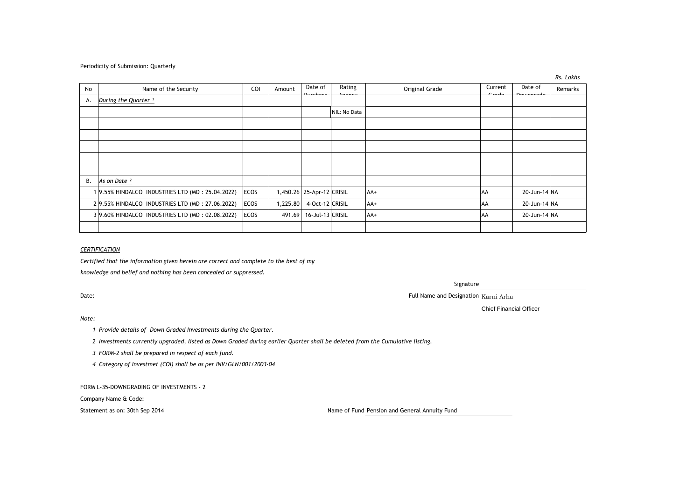## Periodicity of Submission: Quarterly

|    |                                                 |             |          |                           |              |                |           |              | ,,,, _u,,,, |
|----|-------------------------------------------------|-------------|----------|---------------------------|--------------|----------------|-----------|--------------|-------------|
| No | Name of the Security                            | COI         | Amount   | Date of                   | Rating       | Original Grade | Current   | Date of      | Remarks     |
| А. | During the Quarter <sup>1</sup>                 |             |          |                           |              |                |           |              |             |
|    |                                                 |             |          |                           | NIL: No Data |                |           |              |             |
|    |                                                 |             |          |                           |              |                |           |              |             |
|    |                                                 |             |          |                           |              |                |           |              |             |
|    |                                                 |             |          |                           |              |                |           |              |             |
|    |                                                 |             |          |                           |              |                |           |              |             |
|    |                                                 |             |          |                           |              |                |           |              |             |
| В. | As on Date <sup>2</sup>                         |             |          |                           |              |                |           |              |             |
|    | 19.55% HINDALCO INDUSTRIES LTD (MD: 25.04.2022) | <b>ECOS</b> |          | 1,450.26 25-Apr-12 CRISIL |              | $AA+$          | l AA      | 20-Jun-14 NA |             |
|    | 29.55% HINDALCO INDUSTRIES LTD (MD: 27.06.2022) | ECOS        | 1,225.80 | 4-Oct-12 CRISIL           |              | AA+            | <b>AA</b> | 20-Jun-14 NA |             |
|    | 39.60% HINDALCO INDUSTRIES LTD (MD: 02.08.2022) | <b>ECOS</b> | 491.69   | 16-Jul-13 CRISIL          |              | $AA+$          | AA        | 20-Jun-14 NA |             |
|    |                                                 |             |          |                           |              |                |           |              |             |

## *CERTIFICATION*

*Certified that the information given herein are correct and complete to the best of my*

*knowledge and belief and nothing has been concealed or suppressed.*

# Signature

Date: The contraction of the contraction of the contraction of the contraction of the contraction of the contraction  $K = 0$  and  $\theta$  and  $\theta$  and  $\theta$  and  $\theta$  and  $\theta$  and  $\theta$  and  $\theta$  and  $\theta$  and  $\theta$  and  $\theta$  and  $\theta$ 

Chief Financial Officer

*Note:*

*1 Provide details of Down Graded Investments during the Quarter.* 

*2 Investments currently upgraded, listed as Down Graded during earlier Quarter shall be deleted from the Cumulative listing.*

*3 FORM-2 shall be prepared in respect of each fund.*

*4 Category of Investmet (COI) shall be as per INV/GLN/001/2003-04*

FORM L-35-DOWNGRADING OF INVESTMENTS - 2

Company Name & Code:

Statement as on: 30th Sep 2014 Name of Fund Pension and General Annuity Fund

*Rs. Lakhs*